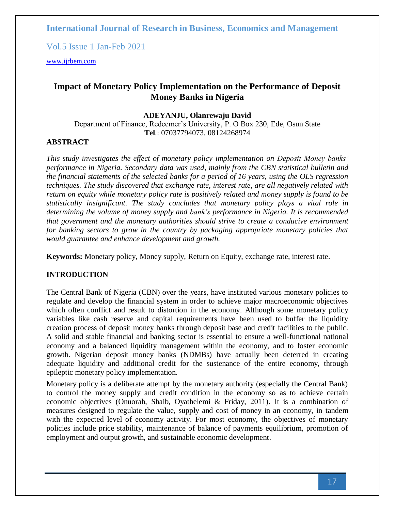Vol.5 Issue 1 Jan-Feb 2021

[www.ijrbem.com](http://www.ijrbem.com/)

## **Impact of Monetary Policy Implementation on the Performance of Deposit Money Banks in Nigeria**

#### **ADEYANJU, Olanrewaju David**

Department of Finance, Redeemer's University, P. O Box 230, Ede, Osun State **Tel**.: 07037794073, 08124268974

## **ABSTRACT**

*This study investigates the effect of monetary policy implementation on Deposit Money banks' performance in Nigeria. Secondary data was used, mainly from the CBN statistical bulletin and the financial statements of the selected banks for a period of 16 years, using the OLS regression techniques. The study discovered that exchange rate, interest rate, are all negatively related with return on equity while monetary policy rate is positively related and money supply is found to be statistically insignificant. The study concludes that monetary policy plays a vital role in determining the volume of money supply and bank's performance in Nigeria. It is recommended that government and the monetary authorities should strive to create a conducive environment for banking sectors to grow in the country by packaging appropriate monetary policies that would guarantee and enhance development and growth.*

**Keywords:** Monetary policy, Money supply, Return on Equity, exchange rate, interest rate.

#### **INTRODUCTION**

The Central Bank of Nigeria (CBN) over the years, have instituted various monetary policies to regulate and develop the financial system in order to achieve major macroeconomic objectives which often conflict and result to distortion in the economy. Although some monetary policy variables like cash reserve and capital requirements have been used to buffer the liquidity creation process of deposit money banks through deposit base and credit facilities to the public. A solid and stable financial and banking sector is essential to ensure a well-functional national economy and a balanced liquidity management within the economy, and to foster economic growth. Nigerian deposit money banks (NDMBs) have actually been deterred in creating adequate liquidity and additional credit for the sustenance of the entire economy, through epileptic monetary policy implementation.

Monetary policy is a deliberate attempt by the monetary authority (especially the Central Bank) to control the money supply and credit condition in the economy so as to achieve certain economic objectives (Onuorah, Shaib, Oyathelemi & Friday, 2011). It is a combination of measures designed to regulate the value, supply and cost of money in an economy, in tandem with the expected level of economy activity. For most economy, the objectives of monetary policies include price stability, maintenance of balance of payments equilibrium, promotion of employment and output growth, and sustainable economic development.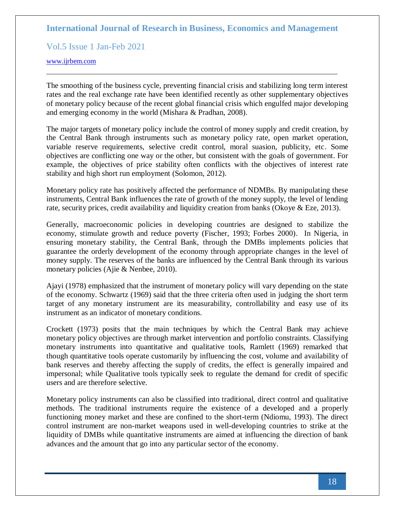Vol.5 Issue 1 Jan-Feb 2021

#### [www.ijrbem.com](http://www.ijrbem.com/)

The smoothing of the business cycle, preventing financial crisis and stabilizing long term interest rates and the real exchange rate have been identified recently as other supplementary objectives of monetary policy because of the recent global financial crisis which engulfed major developing and emerging economy in the world (Mishara & Pradhan, 2008).

The major targets of monetary policy include the control of money supply and credit creation, by the Central Bank through instruments such as monetary policy rate, open market operation, variable reserve requirements, selective credit control, moral suasion, publicity, etc. Some objectives are conflicting one way or the other, but consistent with the goals of government. For example, the objectives of price stability often conflicts with the objectives of interest rate stability and high short run employment (Solomon, 2012).

Monetary policy rate has positively affected the performance of NDMBs. By manipulating these instruments, Central Bank influences the rate of growth of the money supply, the level of lending rate, security prices, credit availability and liquidity creation from banks (Okoye & Eze, 2013).

Generally, macroeconomic policies in developing countries are designed to stabilize the economy, stimulate growth and reduce poverty (Fischer, 1993; Forbes 2000). In Nigeria, in ensuring monetary stability, the Central Bank, through the DMBs implements policies that guarantee the orderly development of the economy through appropriate changes in the level of money supply. The reserves of the banks are influenced by the Central Bank through its various monetary policies (Ajie & Nenbee, 2010).

Ajayi (1978) emphasized that the instrument of monetary policy will vary depending on the state of the economy. Schwartz (1969) said that the three criteria often used in judging the short term target of any monetary instrument are its measurability, controllability and easy use of its instrument as an indicator of monetary conditions.

Crockett (1973) posits that the main techniques by which the Central Bank may achieve monetary policy objectives are through market intervention and portfolio constraints. Classifying monetary instruments into quantitative and qualitative tools, Ramlett (1969) remarked that though quantitative tools operate customarily by influencing the cost, volume and availability of bank reserves and thereby affecting the supply of credits, the effect is generally impaired and impersonal; while Qualitative tools typically seek to regulate the demand for credit of specific users and are therefore selective.

Monetary policy instruments can also be classified into traditional, direct control and qualitative methods. The traditional instruments require the existence of a developed and a properly functioning money market and these are confined to the short-term (Ndiomu, 1993). The direct control instrument are non-market weapons used in well-developing countries to strike at the liquidity of DMBs while quantitative instruments are aimed at influencing the direction of bank advances and the amount that go into any particular sector of the economy.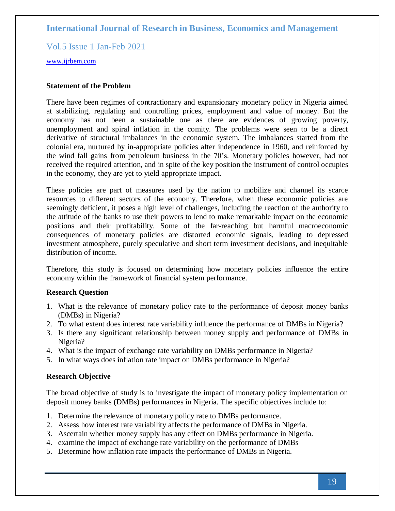Vol.5 Issue 1 Jan-Feb 2021

#### [www.ijrbem.com](http://www.ijrbem.com/)

#### **Statement of the Problem**

There have been regimes of contractionary and expansionary monetary policy in Nigeria aimed at stabilizing, regulating and controlling prices, employment and value of money. But the economy has not been a sustainable one as there are evidences of growing poverty, unemployment and spiral inflation in the comity. The problems were seen to be a direct derivative of structural imbalances in the economic system. The imbalances started from the colonial era, nurtured by in-appropriate policies after independence in 1960, and reinforced by the wind fall gains from petroleum business in the 70's. Monetary policies however, had not received the required attention, and in spite of the key position the instrument of control occupies in the economy, they are yet to yield appropriate impact.

These policies are part of measures used by the nation to mobilize and channel its scarce resources to different sectors of the economy. Therefore, when these economic policies are seemingly deficient, it poses a high level of challenges, including the reaction of the authority to the attitude of the banks to use their powers to lend to make remarkable impact on the economic positions and their profitability. Some of the far-reaching but harmful macroeconomic consequences of monetary policies are distorted economic signals, leading to depressed investment atmosphere, purely speculative and short term investment decisions, and inequitable distribution of income.

Therefore, this study is focused on determining how monetary policies influence the entire economy within the framework of financial system performance.

### **Research Question**

- 1. What is the relevance of monetary policy rate to the performance of deposit money banks (DMBs) in Nigeria?
- 2. To what extent does interest rate variability influence the performance of DMBs in Nigeria?
- 3. Is there any significant relationship between money supply and performance of DMBs in Nigeria?
- 4. What is the impact of exchange rate variability on DMBs performance in Nigeria?
- 5. In what ways does inflation rate impact on DMBs performance in Nigeria?

### **Research Objective**

The broad objective of study is to investigate the impact of monetary policy implementation on deposit money banks (DMBs) performances in Nigeria. The specific objectives include to:

- 1. Determine the relevance of monetary policy rate to DMBs performance.
- 2. Assess how interest rate variability affects the performance of DMBs in Nigeria.
- 3. Ascertain whether money supply has any effect on DMBs performance in Nigeria.
- 4. examine the impact of exchange rate variability on the performance of DMBs
- 5. Determine how inflation rate impacts the performance of DMBs in Nigeria.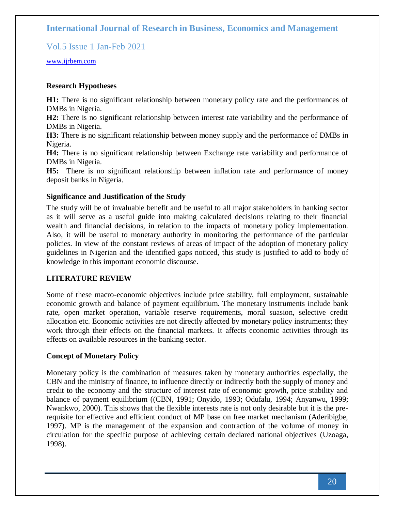Vol.5 Issue 1 Jan-Feb 2021

#### [www.ijrbem.com](http://www.ijrbem.com/)

#### **Research Hypotheses**

**H1:** There is no significant relationship between monetary policy rate and the performances of DMBs in Nigeria.

**H2:** There is no significant relationship between interest rate variability and the performance of DMBs in Nigeria.

**H3:** There is no significant relationship between money supply and the performance of DMBs in Nigeria.

**H4:** There is no significant relationship between Exchange rate variability and performance of DMBs in Nigeria.

**H5:** There is no significant relationship between inflation rate and performance of money deposit banks in Nigeria.

#### **Significance and Justification of the Study**

The study will be of invaluable benefit and be useful to all major stakeholders in banking sector as it will serve as a useful guide into making calculated decisions relating to their financial wealth and financial decisions, in relation to the impacts of monetary policy implementation. Also, it will be useful to monetary authority in monitoring the performance of the particular policies. In view of the constant reviews of areas of impact of the adoption of monetary policy guidelines in Nigerian and the identified gaps noticed, this study is justified to add to body of knowledge in this important economic discourse.

#### **LITERATURE REVIEW**

Some of these macro-economic objectives include price stability, full employment, sustainable economic growth and balance of payment equilibrium. The monetary instruments include bank rate, open market operation, variable reserve requirements, moral suasion, selective credit allocation etc. Economic activities are not directly affected by monetary policy instruments; they work through their effects on the financial markets. It affects economic activities through its effects on available resources in the banking sector.

#### **Concept of Monetary Policy**

Monetary policy is the combination of measures taken by monetary authorities especially, the CBN and the ministry of finance, to influence directly or indirectly both the supply of money and credit to the economy and the structure of interest rate of economic growth, price stability and balance of payment equilibrium ((CBN, 1991; Onyido, 1993; Odufalu, 1994; Anyanwu, 1999; Nwankwo, 2000). This shows that the flexible interests rate is not only desirable but it is the prerequisite for effective and efficient conduct of MP base on free market mechanism (Aderibigbe, 1997). MP is the management of the expansion and contraction of the volume of money in circulation for the specific purpose of achieving certain declared national objectives (Uzoaga, 1998).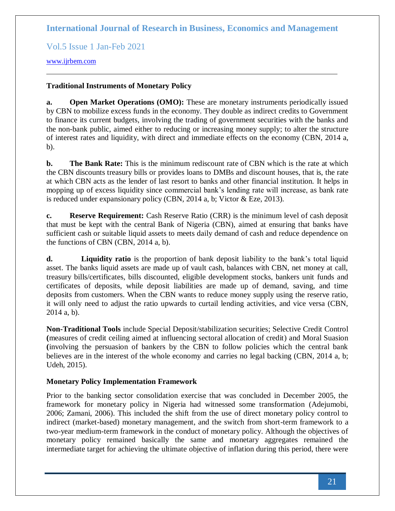Vol.5 Issue 1 Jan-Feb 2021

### [www.ijrbem.com](http://www.ijrbem.com/)

## **Traditional Instruments of Monetary Policy**

**a. Open Market Operations (OMO):** These are monetary instruments periodically issued by CBN to mobilize excess funds in the economy. They double as indirect credits to Government to finance its current budgets, involving the trading of government securities with the banks and the non-bank public, aimed either to reducing or increasing money supply; to alter the structure of interest rates and liquidity, with direct and immediate effects on the economy (CBN, 2014 a, b).

**b. The Bank Rate:** This is the minimum rediscount rate of CBN which is the rate at which the CBN discounts treasury bills or provides loans to DMBs and discount houses, that is, the rate at which CBN acts as the lender of last resort to banks and other financial institution. It helps in mopping up of excess liquidity since commercial bank's lending rate will increase, as bank rate is reduced under expansionary policy (CBN, 2014 a, b; Victor & Eze, 2013).

**c. Reserve Requirement:** Cash Reserve Ratio (CRR) is the minimum level of cash deposit that must be kept with the central Bank of Nigeria (CBN), aimed at ensuring that banks have sufficient cash or suitable liquid assets to meets daily demand of cash and reduce dependence on the functions of CBN (CBN, 2014 a, b).

**d. Liquidity ratio** is the proportion of bank deposit liability to the bank's total liquid asset. The banks liquid assets are made up of vault cash, balances with CBN, net money at call, treasury bills/certificates, bills discounted, eligible development stocks, bankers unit funds and certificates of deposits, while deposit liabilities are made up of demand, saving, and time deposits from customers. When the CBN wants to reduce money supply using the reserve ratio, it will only need to adjust the ratio upwards to curtail lending activities, and vice versa (CBN, 2014 a, b).

**Non-Traditional Tools** include Special Deposit/stabilization securities; Selective Credit Control **(**measures of credit ceiling aimed at influencing sectoral allocation of credit) and Moral Suasion **(**involving the persuasion of bankers by the CBN to follow policies which the central bank believes are in the interest of the whole economy and carries no legal backing (CBN, 2014 a, b; Udeh, 2015).

## **Monetary Policy Implementation Framework**

Prior to the banking sector consolidation exercise that was concluded in December 2005, the framework for monetary policy in Nigeria had witnessed some transformation (Adejumobi, 2006; Zamani, 2006). This included the shift from the use of direct monetary policy control to indirect (market-based) monetary management, and the switch from short-term framework to a two-year medium-term framework in the conduct of monetary policy. Although the objectives of monetary policy remained basically the same and monetary aggregates remained the intermediate target for achieving the ultimate objective of inflation during this period, there were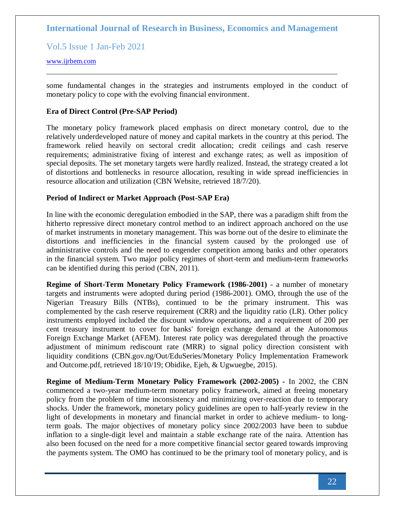Vol.5 Issue 1 Jan-Feb 2021

#### [www.ijrbem.com](http://www.ijrbem.com/)

some fundamental changes in the strategies and instruments employed in the conduct of monetary policy to cope with the evolving financial environment.

### **Era of Direct Control (Pre-SAP Period)**

The monetary policy framework placed emphasis on direct monetary control, due to the relatively underdeveloped nature of money and capital markets in the country at this period. The framework relied heavily on sectoral credit allocation; credit ceilings and cash reserve requirements; administrative fixing of interest and exchange rates; as well as imposition of special deposits. The set monetary targets were hardly realized. Instead, the strategy created a lot of distortions and bottlenecks in resource allocation, resulting in wide spread inefficiencies in resource allocation and utilization (CBN Website, retrieved 18/7/20).

### **Period of Indirect or Market Approach (Post-SAP Era)**

In line with the economic deregulation embodied in the SAP, there was a paradigm shift from the hitherto repressive direct monetary control method to an indirect approach anchored on the use of market instruments in monetary management. This was borne out of the desire to eliminate the distortions and inefficiencies in the financial system caused by the prolonged use of administrative controls and the need to engender competition among banks and other operators in the financial system. Two major policy regimes of short-term and medium-term frameworks can be identified during this period (CBN, 2011).

**Regime of Short-Term Monetary Policy Framework (1986-2001)** - a number of monetary targets and instruments were adopted during period (1986-2001). OMO, through the use of the Nigerian Treasury Bills (NTBs), continued to be the primary instrument. This was complemented by the cash reserve requirement (CRR) and the liquidity ratio (LR). Other policy instruments employed included the discount window operations, and a requirement of 200 per cent treasury instrument to cover for banks' foreign exchange demand at the Autonomous Foreign Exchange Market (AFEM). Interest rate policy was deregulated through the proactive adjustment of minimum rediscount rate (MRR) to signal policy direction consistent with liquidity conditions (CBN.gov.ng/Out/EduSeries/Monetary Policy Implementation Framework and Outcome.pdf, retrieved 18/10/19; Obidike, Ejeh, & Ugwuegbe, 2015).

**Regime of Medium-Term Monetary Policy Framework (2002-2005) -** In 2002, the CBN commenced a two-year medium-term monetary policy framework, aimed at freeing monetary policy from the problem of time inconsistency and minimizing over-reaction due to temporary shocks. Under the framework, monetary policy guidelines are open to half-yearly review in the light of developments in monetary and financial market in order to achieve medium- to longterm goals. The major objectives of monetary policy since 2002/2003 have been to subdue inflation to a single-digit level and maintain a stable exchange rate of the naira. Attention has also been focused on the need for a more competitive financial sector geared towards improving the payments system. The OMO has continued to be the primary tool of monetary policy, and is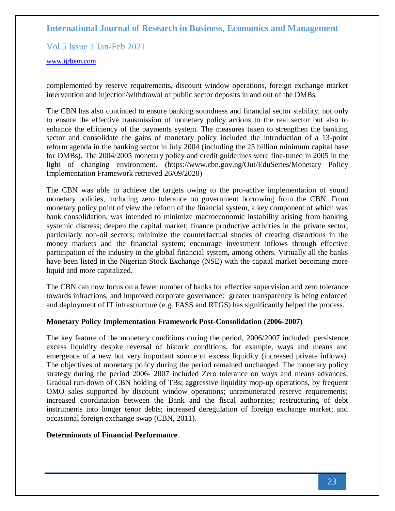Vol.5 Issue 1 Jan-Feb 2021

#### [www.ijrbem.com](http://www.ijrbem.com/)

complemented by reserve requirements, discount window operations, foreign exchange market intervention and injection/withdrawal of public sector deposits in and out of the DMBs.

The CBN has also continued to ensure banking soundness and financial sector stability, not only to ensure the effective transmission of monetary policy actions to the real sector but also to enhance the efficiency of the payments system. The measures taken to strengthen the banking sector and consolidate the gains of monetary policy included the introduction of a 13-point reform agenda in the banking sector in July 2004 (including the 25 billion minimum capital base for DMBs). The 2004/2005 monetary policy and credit guidelines were fine-tuned in 2005 in the light of changing environment. (https://www.cbn.gov.ng/Out/EduSeries/Monetary Policy Implementation Framework retrieved 26/09/2020)

The CBN was able to achieve the targets owing to the pro-active implementation of sound monetary policies, including zero tolerance on government borrowing from the CBN. From monetary policy point of view the reform of the financial system, a key component of which was bank consolidation, was intended to minimize macroeconomic instability arising from banking systemic distress; deepen the capital market; finance productive activities in the private sector, particularly non-oil sectors; minimize the counterfactual shocks of creating distortions in the money markets and the financial system; encourage investment inflows through effective participation of the industry in the global financial system, among others. Virtually all the banks have been listed in the Nigerian Stock Exchange (NSE) with the capital market becoming more liquid and more capitalized.

The CBN can now focus on a fewer number of banks for effective supervision and zero tolerance towards infractions, and improved corporate governance: greater transparency is being enforced and deployment of IT infrastructure (e.g. FASS and RTGS) has significantly helped the process.

## **Monetary Policy Implementation Framework Post-Consolidation (2006-2007)**

The key feature of the monetary conditions during the period, 2006/2007 included: persistence excess liquidity despite reversal of historic conditions, for example, ways and means and emergence of a new but very important source of excess liquidity (increased private inflows). The objectives of monetary policy during the period remained unchanged. The monetary policy strategy during the period 2006- 2007 included Zero tolerance on ways and means advances; Gradual run-down of CBN holding of TBs; aggressive liquidity mop-up operations, by frequent OMO sales supported by discount window operations; unremunerated reserve requirements; increased coordination between the Bank and the fiscal authorities; restructuring of debt instruments into longer tenor debts; increased deregulation of foreign exchange market; and occasional foreign exchange swap (CBN, 2011).

## **Determinants of Financial Performance**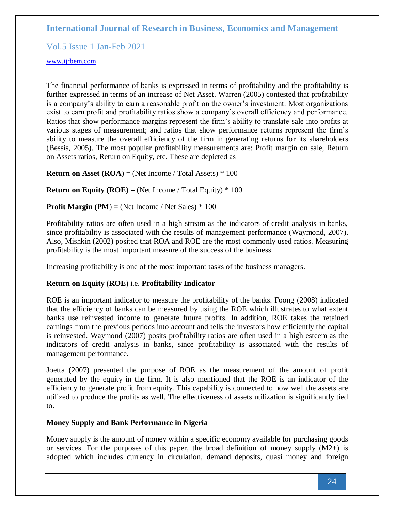Vol.5 Issue 1 Jan-Feb 2021

### [www.ijrbem.com](http://www.ijrbem.com/)

The financial performance of banks is expressed in terms of profitability and the profitability is further expressed in terms of an increase of Net Asset. Warren (2005) contested that profitability is a company's ability to earn a reasonable profit on the owner's investment. Most organizations exist to earn profit and profitability ratios show a company's overall efficiency and performance. Ratios that show performance margins represent the firm's ability to translate sale into profits at various stages of measurement; and ratios that show performance returns represent the firm's ability to measure the overall efficiency of the firm in generating returns for its shareholders (Bessis, 2005). The most popular profitability measurements are: Profit margin on sale, Return on Assets ratios, Return on Equity, etc. These are depicted as

**Return on Asset**  $(ROA) = (Net Income / Total Assets) * 100$ 

**Return on Equity (ROE)**  $=$  **(Net Income / Total Equity)**  $*$  **100** 

## **Profit Margin (PM)** = (Net Income / Net Sales)  $*100$

Profitability ratios are often used in a high stream as the indicators of credit analysis in banks, since profitability is associated with the results of management performance (Waymond, 2007). Also, Mishkin (2002) posited that ROA and ROE are the most commonly used ratios. Measuring profitability is the most important measure of the success of the business.

Increasing profitability is one of the most important tasks of the business managers.

## **Return on Equity (ROE**) i.e. **Profitability Indicator**

ROE is an important indicator to measure the profitability of the banks. Foong (2008) indicated that the efficiency of banks can be measured by using the ROE which illustrates to what extent banks use reinvested income to generate future profits. In addition, ROE takes the retained earnings from the previous periods into account and tells the investors how efficiently the capital is reinvested. Waymond (2007) posits profitability ratios are often used in a high esteem as the indicators of credit analysis in banks, since profitability is associated with the results of management performance.

Joetta (2007) presented the purpose of ROE as the measurement of the amount of profit generated by the equity in the firm. It is also mentioned that the ROE is an indicator of the efficiency to generate profit from equity. This capability is connected to how well the assets are utilized to produce the profits as well. The effectiveness of assets utilization is significantly tied to.

## **Money Supply and Bank Performance in Nigeria**

Money supply is the amount of money within a specific economy available for purchasing goods or services. For the purposes of this paper, the broad definition of money supply  $(M2+)$  is adopted which includes currency in circulation, demand deposits, quasi money and foreign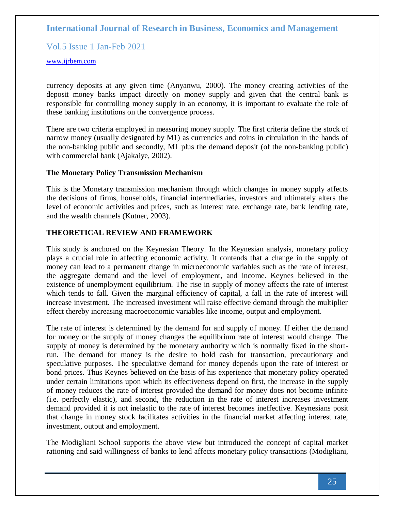Vol.5 Issue 1 Jan-Feb 2021

[www.ijrbem.com](http://www.ijrbem.com/)

currency deposits at any given time (Anyanwu, 2000). The money creating activities of the deposit money banks impact directly on money supply and given that the central bank is responsible for controlling money supply in an economy, it is important to evaluate the role of these banking institutions on the convergence process.

There are two criteria employed in measuring money supply. The first criteria define the stock of narrow money (usually designated by M1) as currencies and coins in circulation in the hands of the non-banking public and secondly, M1 plus the demand deposit (of the non-banking public) with commercial bank (Ajakaiye, 2002).

#### **The Monetary Policy Transmission Mechanism**

This is the Monetary transmission mechanism through which changes in money supply affects the decisions of firms, households, financial intermediaries, investors and ultimately alters the level of economic activities and prices, such as interest rate, exchange rate, bank lending rate, and the wealth channels (Kutner, 2003).

## **THEORETICAL REVIEW AND FRAMEWORK**

This study is anchored on the Keynesian Theory. In the Keynesian analysis, monetary policy plays a crucial role in affecting economic activity. It contends that a change in the supply of money can lead to a permanent change in microeconomic variables such as the rate of interest, the aggregate demand and the level of employment, and income. Keynes believed in the existence of unemployment equilibrium. The rise in supply of money affects the rate of interest which tends to fall. Given the marginal efficiency of capital, a fall in the rate of interest will increase investment. The increased investment will raise effective demand through the multiplier effect thereby increasing macroeconomic variables like income, output and employment.

The rate of interest is determined by the demand for and supply of money. If either the demand for money or the supply of money changes the equilibrium rate of interest would change. The supply of money is determined by the monetary authority which is normally fixed in the shortrun. The demand for money is the desire to hold cash for transaction, precautionary and speculative purposes. The speculative demand for money depends upon the rate of interest or bond prices. Thus Keynes believed on the basis of his experience that monetary policy operated under certain limitations upon which its effectiveness depend on first, the increase in the supply of money reduces the rate of interest provided the demand for money does not become infinite (i.e. perfectly elastic), and second, the reduction in the rate of interest increases investment demand provided it is not inelastic to the rate of interest becomes ineffective. Keynesians posit that change in money stock facilitates activities in the financial market affecting interest rate, investment, output and employment.

The Modigliani School supports the above view but introduced the concept of capital market rationing and said willingness of banks to lend affects monetary policy transactions (Modigliani,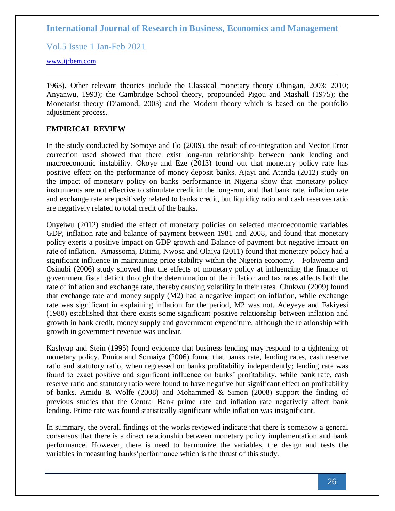Vol.5 Issue 1 Jan-Feb 2021

[www.ijrbem.com](http://www.ijrbem.com/)

1963). Other relevant theories include the Classical monetary theory (Jhingan, 2003; 2010; Anyanwu, 1993); the Cambridge School theory, propounded Pigou and Mashall (1975); the Monetarist theory (Diamond, 2003) and the Modern theory which is based on the portfolio adjustment process.

### **EMPIRICAL REVIEW**

In the study conducted by Somoye and Ilo (2009), the result of co-integration and Vector Error correction used showed that there exist long-run relationship between bank lending and macroeconomic instability. Okoye and Eze (2013) found out that monetary policy rate has positive effect on the performance of money deposit banks. Ajayi and Atanda (2012) study on the impact of monetary policy on banks performance in Nigeria show that monetary policy instruments are not effective to stimulate credit in the long-run, and that bank rate, inflation rate and exchange rate are positively related to banks credit, but liquidity ratio and cash reserves ratio are negatively related to total credit of the banks.

Onyeiwu (2012) studied the effect of monetary policies on selected macroeconomic variables GDP, inflation rate and balance of payment between 1981 and 2008, and found that monetary policy exerts a positive impact on GDP growth and Balance of payment but negative impact on rate of inflation. Amassoma, Ditimi, Nwosa and Olaiya (2011) found that monetary policy had a significant influence in maintaining price stability within the Nigeria economy. Folawemo and Osinubi (2006) study showed that the effects of monetary policy at influencing the finance of government fiscal deficit through the determination of the inflation and tax rates affects both the rate of inflation and exchange rate, thereby causing volatility in their rates. Chukwu (2009) found that exchange rate and money supply (M2) had a negative impact on inflation, while exchange rate was significant in explaining inflation for the period, M2 was not. Adeyeye and Fakiyesi (1980) established that there exists some significant positive relationship between inflation and growth in bank credit, money supply and government expenditure, although the relationship with growth in government revenue was unclear.

Kashyap and Stein (1995) found evidence that business lending may respond to a tightening of monetary policy. Punita and Somaiya (2006) found that banks rate, lending rates, cash reserve ratio and statutory ratio, when regressed on banks profitability independently; lending rate was found to exact positive and significant influence on banks' profitability, while bank rate, cash reserve ratio and statutory ratio were found to have negative but significant effect on profitability of banks. Amidu & Wolfe (2008) and Mohammed & Simon (2008) support the finding of previous studies that the Central Bank prime rate and inflation rate negatively affect bank lending. Prime rate was found statistically significant while inflation was insignificant.

In summary, the overall findings of the works reviewed indicate that there is somehow a general consensus that there is a direct relationship between monetary policy implementation and bank performance. However, there is need to harmonize the variables, the design and tests the variables in measuring banks'performance which is the thrust of this study.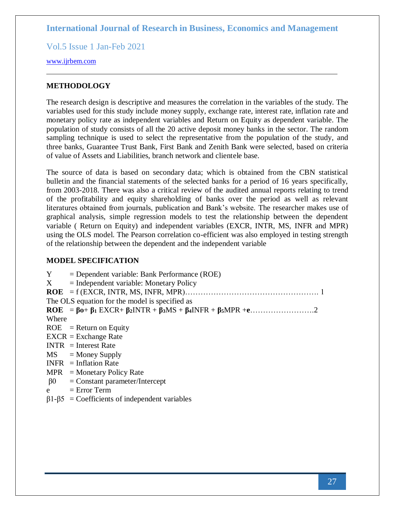Vol.5 Issue 1 Jan-Feb 2021

[www.ijrbem.com](http://www.ijrbem.com/)

### **METHODOLOGY**

The research design is descriptive and measures the correlation in the variables of the study. The variables used for this study include money supply, exchange rate, interest rate, inflation rate and monetary policy rate as independent variables and Return on Equity as dependent variable. The population of study consists of all the 20 active deposit money banks in the sector. The random sampling technique is used to select the representative from the population of the study, and three banks, Guarantee Trust Bank, First Bank and Zenith Bank were selected, based on criteria of value of Assets and Liabilities, branch network and clientele base.

The source of data is based on secondary data; which is obtained from the CBN statistical bulletin and the financial statements of the selected banks for a period of 16 years specifically, from 2003-2018. There was also a critical review of the audited annual reports relating to trend of the profitability and equity shareholding of banks over the period as well as relevant literatures obtained from journals, publication and Bank's website. The researcher makes use of graphical analysis, simple regression models to test the relationship between the dependent variable ( Return on Equity) and independent variables (EXCR, INTR, MS, INFR and MPR) using the OLS model. The Pearson correlation co-efficient was also employed in testing strength of the relationship between the dependent and the independent variable

#### **MODEL SPECIFICATION**

| Y         | $=$ Dependent variable: Bank Performance (ROE) |
|-----------|------------------------------------------------|
| X         | $=$ Independent variable: Monetary Policy      |
|           |                                                |
|           | The OLS equation for the model is specified as |
|           |                                                |
| Where     |                                                |
|           | $ROE = Return on Equity$                       |
|           | $EXCR = Exchange Rate$                         |
|           | $INTR = Interest Rate$                         |
|           | $MS = Money$ Supply                            |
|           | $INFR = Inflation Rate$                        |
|           | $MPR = Monetary Policy Rate$                   |
| $\beta 0$ | $=$ Constant parameter/Intercept               |
| e         | $=$ Error Term                                 |

 $β1-β5 = Coefficients of independent variables$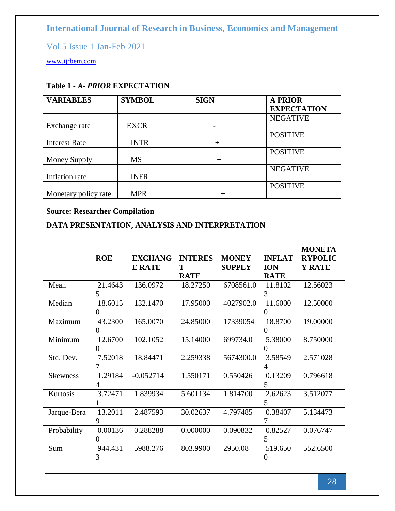Vol.5 Issue 1 Jan-Feb 2021

[www.ijrbem.com](http://www.ijrbem.com/)

| <b>VARIABLES</b>     | <b>SYMBOL</b> | <b>SIGN</b> | <b>A PRIOR</b><br><b>EXPECTATION</b> |
|----------------------|---------------|-------------|--------------------------------------|
| Exchange rate        | <b>EXCR</b>   |             | <b>NEGATIVE</b>                      |
| <b>Interest Rate</b> | <b>INTR</b>   | $^{+}$      | <b>POSITIVE</b>                      |
| Money Supply         | <b>MS</b>     | $^{+}$      | <b>POSITIVE</b>                      |
| Inflation rate       | <b>INFR</b>   |             | <b>NEGATIVE</b>                      |
| Monetary policy rate | <b>MPR</b>    |             | <b>POSITIVE</b>                      |

## **Table 1 -** *A- PRIOR* **EXPECTATION**

## **Source: Researcher Compilation**

## **DATA PRESENTATION, ANALYSIS AND INTERPRETATION**

|                 | <b>ROE</b>     | <b>EXCHANG</b><br><b>E RATE</b> | <b>INTERES</b><br>T | <b>MONEY</b><br><b>SUPPLY</b> | <b>INFLAT</b><br><b>ION</b> | <b>MONETA</b><br><b>RYPOLIC</b><br>Y RATE |
|-----------------|----------------|---------------------------------|---------------------|-------------------------------|-----------------------------|-------------------------------------------|
|                 |                |                                 | <b>RATE</b>         |                               | <b>RATE</b>                 |                                           |
| Mean            | 21.4643        | 136.0972                        | 18.27250            | 6708561.0                     | 11.8102                     | 12.56023                                  |
|                 | 5              |                                 |                     |                               | 3                           |                                           |
| Median          | 18.6015        | 132.1470                        | 17.95000            | 4027902.0                     | 11.6000                     | 12.50000                                  |
|                 | $\Omega$       |                                 |                     |                               | $\Omega$                    |                                           |
| Maximum         | 43.2300        | 165.0070                        | 24.85000            | 17339054                      | 18.8700                     | 19.00000                                  |
|                 | $\overline{0}$ |                                 |                     |                               | $\theta$                    |                                           |
| Minimum         | 12.6700        | 102.1052                        | 15.14000            | 699734.0                      | 5.38000                     | 8.750000                                  |
|                 | $\theta$       |                                 |                     |                               | $\theta$                    |                                           |
| Std. Dev.       | 7.52018        | 18.84471                        | 2.259338            | 5674300.0                     | 3.58549                     | 2.571028                                  |
|                 | 7              |                                 |                     |                               | $\overline{4}$              |                                           |
| <b>Skewness</b> | 1.29184        | $-0.052714$                     | 1.550171            | 0.550426                      | 0.13209                     | 0.796618                                  |
|                 | 4              |                                 |                     |                               | 5                           |                                           |
| Kurtosis        | 3.72471        | 1.839934                        | 5.601134            | 1.814700                      | 2.62623                     | 3.512077                                  |
|                 |                |                                 |                     |                               | 5                           |                                           |
| Jarque-Bera     | 13.2011        | 2.487593                        | 30.02637            | 4.797485                      | 0.38407                     | 5.134473                                  |
|                 | 9              |                                 |                     |                               | 7                           |                                           |
| Probability     | 0.00136        | 0.288288                        | 0.000000            | 0.090832                      | 0.82527                     | 0.076747                                  |
|                 | $\Omega$       |                                 |                     |                               | 5                           |                                           |
| Sum             | 944.431        | 5988.276                        | 803.9900            | 2950.08                       | 519.650                     | 552.6500                                  |
|                 | 3              |                                 |                     |                               | $\Omega$                    |                                           |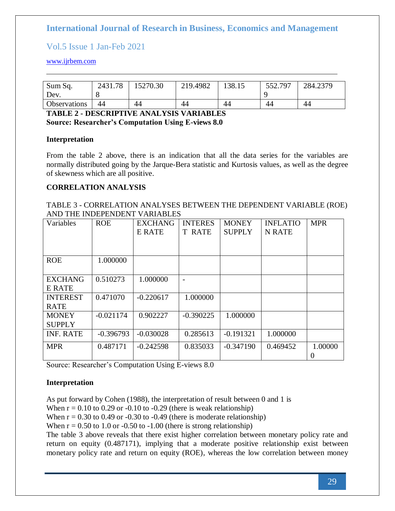## Vol.5 Issue 1 Jan-Feb 2021

### [www.ijrbem.com](http://www.ijrbem.com/)

| Sum Sq.<br>Dev.     | 2431.78 | 15270.30 | 219.4982 | 138.15 | 552.797 | 284.2379 |
|---------------------|---------|----------|----------|--------|---------|----------|
| <b>Observations</b> | 44      | 44       | 44       | 44     | 44      | 44       |

### **TABLE 2 - DESCRIPTIVE ANALYSIS VARIABLES Source: Researcher's Computation Using E-views 8.0**

#### **Interpretation**

From the table 2 above, there is an indication that all the data series for the variables are normally distributed going by the Jarque-Bera statistic and Kurtosis values, as well as the degree of skewness which are all positive.

### **CORRELATION ANALYSIS**

TABLE 3 - CORRELATION ANALYSES BETWEEN THE DEPENDENT VARIABLE (ROE) AND THE INDEPENDENT VARIABLES

| Variables                       | <b>ROE</b>  | <b>EXCHANG</b><br>E RATE | <b>INTERES</b><br><b>T RATE</b> | <b>MONEY</b><br><b>SUPPLY</b> | <b>INFLATIO</b><br>N RATE | <b>MPR</b>   |
|---------------------------------|-------------|--------------------------|---------------------------------|-------------------------------|---------------------------|--------------|
| <b>ROE</b>                      | 1.000000    |                          |                                 |                               |                           |              |
| <b>EXCHANG</b><br><b>E RATE</b> | 0.510273    | 1.000000                 |                                 |                               |                           |              |
| <b>INTEREST</b><br><b>RATE</b>  | 0.471070    | $-0.220617$              | 1.000000                        |                               |                           |              |
| <b>MONEY</b><br><b>SUPPLY</b>   | $-0.021174$ | 0.902227                 | $-0.390225$                     | 1.000000                      |                           |              |
| <b>INF. RATE</b>                | $-0.396793$ | $-0.030028$              | 0.285613                        | $-0.191321$                   | 1.000000                  |              |
| <b>MPR</b>                      | 0.487171    | $-0.242598$              | 0.835033                        | $-0.347190$                   | 0.469452                  | 1.00000<br>0 |

Source: Researcher's Computation Using E-views 8.0

## **Interpretation**

As put forward by Cohen (1988), the interpretation of result between 0 and 1 is

When  $r = 0.10$  to 0.29 or -0.10 to -0.29 (there is weak relationship)

When  $r = 0.30$  to 0.49 or -0.30 to -0.49 (there is moderate relationship)

When  $r = 0.50$  to 1.0 or -0.50 to -1.00 (there is strong relationship)

The table 3 above reveals that there exist higher correlation between monetary policy rate and return on equity (0.487171), implying that a moderate positive relationship exist between monetary policy rate and return on equity (ROE), whereas the low correlation between money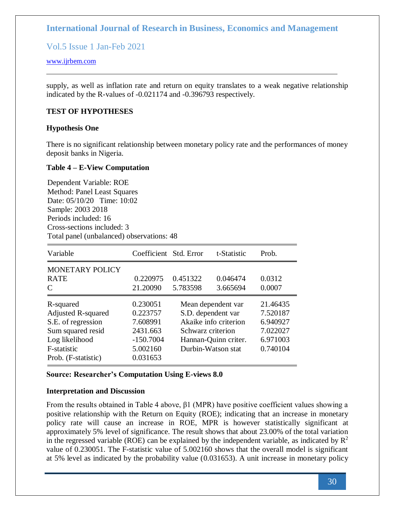Vol.5 Issue 1 Jan-Feb 2021

### [www.ijrbem.com](http://www.ijrbem.com/)

supply, as well as inflation rate and return on equity translates to a weak negative relationship indicated by the R-values of -0.021174 and -0.396793 respectively.

### **TEST OF HYPOTHESES**

#### **Hypothesis One**

There is no significant relationship between monetary policy rate and the performances of money deposit banks in Nigeria.

#### **Table 4 – E-View Computation**

Dependent Variable: ROE Method: Panel Least Squares Date: 05/10/20 Time: 10:02 Sample: 2003 2018 Periods included: 16 Cross-sections included: 3 Total panel (unbalanced) observations: 48

| Variable                  | Coefficient Std. Error |                    | t-Statistic           | Prob.    |
|---------------------------|------------------------|--------------------|-----------------------|----------|
| MONETARY POLICY           |                        |                    |                       |          |
| <b>RATE</b>               | 0.220975               | 0.451322           | 0.046474              | 0.0312   |
| C                         | 21.20090               | 5.783598           | 3.665694              | 0.0007   |
| R-squared                 | 0.230051               |                    | Mean dependent var    | 21.46435 |
| <b>Adjusted R-squared</b> | 0.223757               | S.D. dependent var |                       | 7.520187 |
| S.E. of regression        | 7.608991               |                    | Akaike info criterion | 6.940927 |
| Sum squared resid         | 2431.663               | Schwarz criterion  |                       | 7.022027 |
| Log likelihood            | $-150.7004$            |                    | Hannan-Quinn criter.  | 6.971003 |
| F-statistic               | 5.002160               |                    | Durbin-Watson stat    | 0.740104 |
| Prob. (F-statistic)       | 0.031653               |                    |                       |          |

#### **Source: Researcher's Computation Using E-views 8.0**

#### **Interpretation and Discussion**

From the results obtained in Table 4 above, β1 (MPR) have positive coefficient values showing a positive relationship with the Return on Equity (ROE); indicating that an increase in monetary policy rate will cause an increase in ROE, MPR is however statistically significant at approximately 5% level of significance. The result shows that about 23.00% of the total variation in the regressed variable (ROE) can be explained by the independent variable, as indicated by  $\mathbb{R}^2$ value of 0.230051. The F-statistic value of 5.002160 shows that the overall model is significant at 5% level as indicated by the probability value (0.031653). A unit increase in monetary policy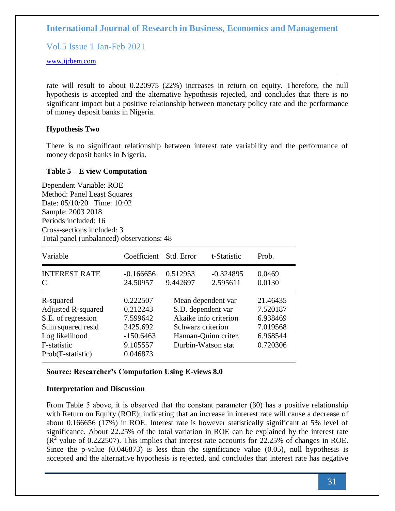Vol.5 Issue 1 Jan-Feb 2021

### [www.ijrbem.com](http://www.ijrbem.com/)

rate will result to about 0.220975 (22%) increases in return on equity. Therefore, the null hypothesis is accepted and the alternative hypothesis rejected, and concludes that there is no significant impact but a positive relationship between monetary policy rate and the performance of money deposit banks in Nigeria.

#### **Hypothesis Two**

There is no significant relationship between interest rate variability and the performance of money deposit banks in Nigeria.

#### **Table 5 – E view Computation**

Dependent Variable: ROE Method: Panel Least Squares Date: 05/10/20 Time: 10:02 Sample: 2003 2018 Periods included: 16 Cross-sections included: 3 Total panel (unbalanced) observations: 48

| Variable                                                                                                                                | Coefficient                                                                         | Std. Error                                                                                                                           | t-Statistic             | Prob.                                                                |
|-----------------------------------------------------------------------------------------------------------------------------------------|-------------------------------------------------------------------------------------|--------------------------------------------------------------------------------------------------------------------------------------|-------------------------|----------------------------------------------------------------------|
| <b>INTEREST RATE</b><br>C                                                                                                               | $-0.166656$<br>24.50957                                                             | 0.512953<br>9.442697                                                                                                                 | $-0.324895$<br>2.595611 | 0.0469<br>0.0130                                                     |
| R-squared<br><b>Adjusted R-squared</b><br>S.E. of regression<br>Sum squared resid<br>Log likelihood<br>F-statistic<br>Prob(F-statistic) | 0.222507<br>0.212243<br>7.599642<br>2425.692<br>$-150.6463$<br>9.105557<br>0.046873 | Mean dependent var<br>S.D. dependent var<br>Akaike info criterion<br>Schwarz criterion<br>Hannan-Quinn criter.<br>Durbin-Watson stat |                         | 21.46435<br>7.520187<br>6.938469<br>7.019568<br>6.968544<br>0.720306 |

#### **Source: Researcher's Computation Using E-views 8.0**

#### **Interpretation and Discussion**

From Table 5 above, it is observed that the constant parameter  $(\beta 0)$  has a positive relationship with Return on Equity (ROE); indicating that an increase in interest rate will cause a decrease of about 0.166656 (17%) in ROE. Interest rate is however statistically significant at 5% level of significance. About 22.25% of the total variation in ROE can be explained by the interest rate  $(R<sup>2</sup>$  value of 0.222507). This implies that interest rate accounts for 22.25% of changes in ROE. Since the p-value (0.046873) is less than the significance value (0.05), null hypothesis is accepted and the alternative hypothesis is rejected, and concludes that interest rate has negative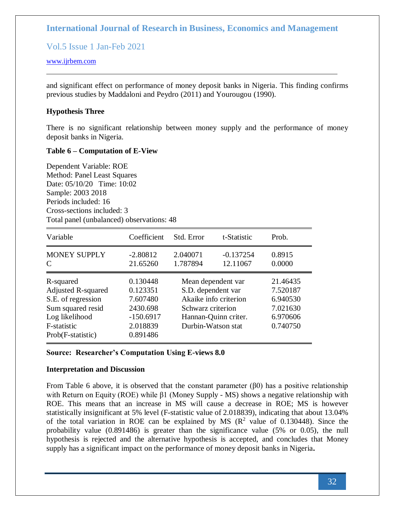Vol.5 Issue 1 Jan-Feb 2021

### [www.ijrbem.com](http://www.ijrbem.com/)

and significant effect on performance of money deposit banks in Nigeria. This finding confirms previous studies by Maddaloni and Peydro (2011) and Yourougou (1990).

### **Hypothesis Three**

There is no significant relationship between money supply and the performance of money deposit banks in Nigeria.

#### **Table 6 – Computation of E-View**

Dependent Variable: ROE Method: Panel Least Squares Date: 05/10/20 Time: 10:02 Sample: 2003 2018 Periods included: 16 Cross-sections included: 3 Total panel (unbalanced) observations: 48

| Variable                                                                                                                         | Coefficient                                                                         | Std. Error                                                                          | t-Statistic                                   | Prob.                                                                |
|----------------------------------------------------------------------------------------------------------------------------------|-------------------------------------------------------------------------------------|-------------------------------------------------------------------------------------|-----------------------------------------------|----------------------------------------------------------------------|
| <b>MONEY SUPPLY</b><br>C                                                                                                         | $-2.80812$<br>21.65260                                                              | 2.040071<br>1.787894                                                                | $-0.137254$<br>12.11067                       | 0.8915<br>0.0000                                                     |
| R-squared<br>Adjusted R-squared<br>S.E. of regression<br>Sum squared resid<br>Log likelihood<br>F-statistic<br>Prob(F-statistic) | 0.130448<br>0.123351<br>7.607480<br>2430.698<br>$-150.6917$<br>2.018839<br>0.891486 | Mean dependent var<br>S.D. dependent var<br>Schwarz criterion<br>Durbin-Watson stat | Akaike info criterion<br>Hannan-Quinn criter. | 21.46435<br>7.520187<br>6.940530<br>7.021630<br>6.970606<br>0.740750 |

#### **Source: Researcher's Computation Using E-views 8.0**

#### **Interpretation and Discussion**

From Table 6 above, it is observed that the constant parameter  $(\beta 0)$  has a positive relationship with Return on Equity (ROE) while β1 (Money Supply - MS) shows a negative relationship with ROE. This means that an increase in MS will cause a decrease in ROE; MS is however statistically insignificant at 5% level (F-statistic value of 2.018839), indicating that about 13.04% of the total variation in ROE can be explained by MS  $(R^2$  value of 0.130448). Since the probability value (0.891486) is greater than the significance value (5% or 0.05), the null hypothesis is rejected and the alternative hypothesis is accepted, and concludes that Money supply has a significant impact on the performance of money deposit banks in Nigeria**.**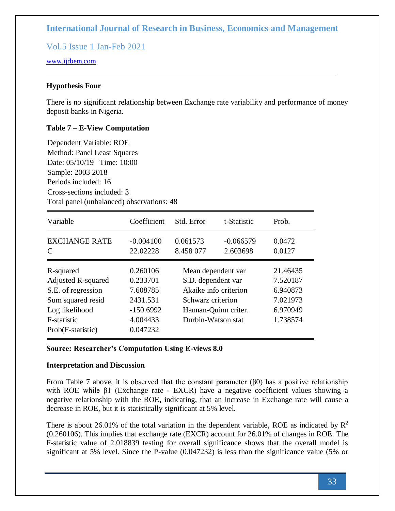Vol.5 Issue 1 Jan-Feb 2021

#### [www.ijrbem.com](http://www.ijrbem.com/)

#### **Hypothesis Four**

There is no significant relationship between Exchange rate variability and performance of money deposit banks in Nigeria.

#### **Table 7 – E-View Computation**

Dependent Variable: ROE Method: Panel Least Squares Date: 05/10/19 Time: 10:00 Sample: 2003 2018 Periods included: 16 Cross-sections included: 3 Total panel (unbalanced) observations: 48

| Variable                                                                                                                                | Coefficient                                                                         | Std. Error                                                                                                                           | t-Statistic             | Prob.                                                                |
|-----------------------------------------------------------------------------------------------------------------------------------------|-------------------------------------------------------------------------------------|--------------------------------------------------------------------------------------------------------------------------------------|-------------------------|----------------------------------------------------------------------|
| <b>EXCHANGE RATE</b><br>C                                                                                                               | $-0.004100$<br>22.02228                                                             | 0.061573<br>8.458 077                                                                                                                | $-0.066579$<br>2.603698 | 0.0472<br>0.0127                                                     |
| R-squared<br><b>Adjusted R-squared</b><br>S.E. of regression<br>Sum squared resid<br>Log likelihood<br>F-statistic<br>Prob(F-statistic) | 0.260106<br>0.233701<br>7.608785<br>2431.531<br>$-150.6992$<br>4.004433<br>0.047232 | Mean dependent var<br>S.D. dependent var<br>Akaike info criterion<br>Schwarz criterion<br>Hannan-Quinn criter.<br>Durbin-Watson stat |                         | 21.46435<br>7.520187<br>6.940873<br>7.021973<br>6.970949<br>1.738574 |

#### **Source: Researcher's Computation Using E-views 8.0**

#### **Interpretation and Discussion**

From Table 7 above, it is observed that the constant parameter  $(\beta 0)$  has a positive relationship with ROE while β1 (Exchange rate - EXCR) have a negative coefficient values showing a negative relationship with the ROE, indicating, that an increase in Exchange rate will cause a decrease in ROE, but it is statistically significant at 5% level.

There is about 26.01% of the total variation in the dependent variable, ROE as indicated by  $\mathbb{R}^2$ (0.260106). This implies that exchange rate (EXCR) account for 26.01% of changes in ROE. The F-statistic value of 2.018839 testing for overall significance shows that the overall model is significant at 5% level. Since the P-value (0.047232) is less than the significance value (5% or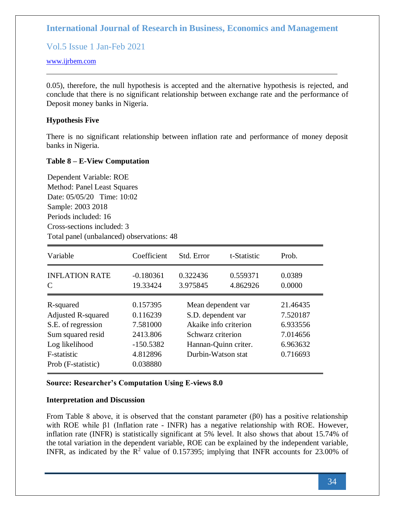Vol.5 Issue 1 Jan-Feb 2021

### [www.ijrbem.com](http://www.ijrbem.com/)

0.05), therefore, the null hypothesis is accepted and the alternative hypothesis is rejected, and conclude that there is no significant relationship between exchange rate and the performance of Deposit money banks in Nigeria.

### **Hypothesis Five**

There is no significant relationship between inflation rate and performance of money deposit banks in Nigeria.

### **Table 8 – E-View Computation**

Dependent Variable: ROE Method: Panel Least Squares Date: 05/05/20 Time: 10:02 Sample: 2003 2018 Periods included: 16 Cross-sections included: 3 Total panel (unbalanced) observations: 48

| Variable                   | Coefficient             | Std. Error            | t-Statistic          | Prob.            |
|----------------------------|-------------------------|-----------------------|----------------------|------------------|
| <b>INFLATION RATE</b><br>C | $-0.180361$<br>19.33424 | 0.322436<br>3.975845  | 0.559371<br>4.862926 | 0.0389<br>0.0000 |
| R-squared                  | 0.157395                | Mean dependent var    |                      | 21.46435         |
| <b>Adjusted R-squared</b>  | 0.116239                | S.D. dependent var    |                      | 7.520187         |
| S.E. of regression         | 7.581000                | Akaike info criterion |                      | 6.933556         |
| Sum squared resid          | 2413.806                | Schwarz criterion     |                      | 7.014656         |
| Log likelihood             | $-150.5382$             | Hannan-Quinn criter.  |                      | 6.963632         |
| F-statistic                | 4.812896                | Durbin-Watson stat    |                      | 0.716693         |
| Prob (F-statistic)         | 0.038880                |                       |                      |                  |

## **Source: Researcher's Computation Using E-views 8.0**

#### **Interpretation and Discussion**

From Table 8 above, it is observed that the constant parameter  $(\beta 0)$  has a positive relationship with ROE while β1 (Inflation rate - INFR) has a negative relationship with ROE. However, inflation rate (INFR) is statistically significant at 5% level. It also shows that about 15.74% of the total variation in the dependent variable, ROE can be explained by the independent variable, INFR, as indicated by the  $R^2$  value of 0.157395; implying that INFR accounts for 23.00% of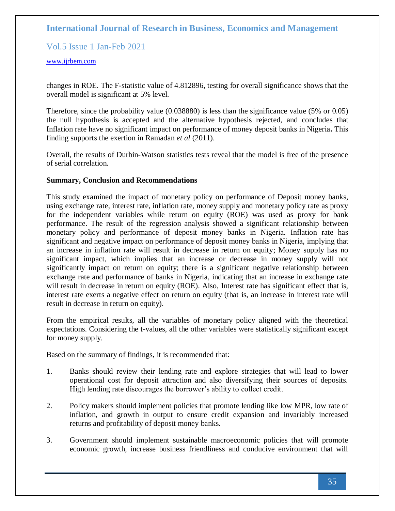Vol.5 Issue 1 Jan-Feb 2021

#### [www.ijrbem.com](http://www.ijrbem.com/)

changes in ROE. The F-statistic value of 4.812896, testing for overall significance shows that the overall model is significant at 5% level.

Therefore, since the probability value (0.038880) is less than the significance value (5% or 0.05) the null hypothesis is accepted and the alternative hypothesis rejected, and concludes that Inflation rate have no significant impact on performance of money deposit banks in Nigeria**.** This finding supports the exertion in Ramadan *et al* (2011).

Overall, the results of Durbin-Watson statistics tests reveal that the model is free of the presence of serial correlation.

#### **Summary, Conclusion and Recommendations**

This study examined the impact of monetary policy on performance of Deposit money banks, using exchange rate, interest rate, inflation rate, money supply and monetary policy rate as proxy for the independent variables while return on equity (ROE) was used as proxy for bank performance. The result of the regression analysis showed a significant relationship between monetary policy and performance of deposit money banks in Nigeria. Inflation rate has significant and negative impact on performance of deposit money banks in Nigeria, implying that an increase in inflation rate will result in decrease in return on equity; Money supply has no significant impact, which implies that an increase or decrease in money supply will not significantly impact on return on equity; there is a significant negative relationship between exchange rate and performance of banks in Nigeria, indicating that an increase in exchange rate will result in decrease in return on equity (ROE). Also, Interest rate has significant effect that is, interest rate exerts a negative effect on return on equity (that is, an increase in interest rate will result in decrease in return on equity).

From the empirical results, all the variables of monetary policy aligned with the theoretical expectations. Considering the t-values, all the other variables were statistically significant except for money supply.

Based on the summary of findings, it is recommended that:

- 1. Banks should review their lending rate and explore strategies that will lead to lower operational cost for deposit attraction and also diversifying their sources of deposits. High lending rate discourages the borrower's ability to collect credit.
- 2. Policy makers should implement policies that promote lending like low MPR, low rate of inflation, and growth in output to ensure credit expansion and invariably increased returns and profitability of deposit money banks.
- 3. Government should implement sustainable macroeconomic policies that will promote economic growth, increase business friendliness and conducive environment that will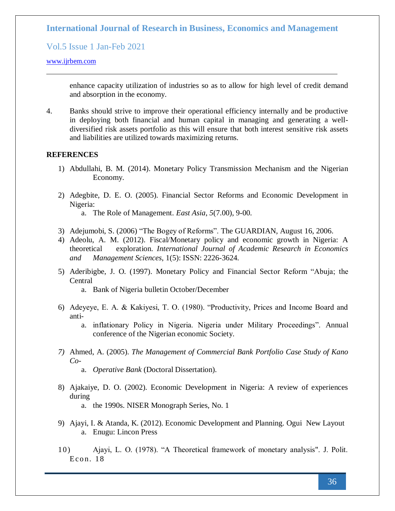## Vol.5 Issue 1 Jan-Feb 2021

#### [www.ijrbem.com](http://www.ijrbem.com/)

enhance capacity utilization of industries so as to allow for high level of credit demand and absorption in the economy.

4. Banks should strive to improve their operational efficiency internally and be productive in deploying both financial and human capital in managing and generating a welldiversified risk assets portfolio as this will ensure that both interest sensitive risk assets and liabilities are utilized towards maximizing returns.

#### **REFERENCES**

- 1) Abdullahi, B. M. (2014). Monetary Policy Transmission Mechanism and the Nigerian Economy.
- 2) Adegbite, D. E. O. (2005). Financial Sector Reforms and Economic Development in Nigeria:
	- a. The Role of Management. *East Asia*, *5*(7.00), 9-00.
- 3) Adejumobi, S. (2006) "The Bogey of Reforms". The GUARDIAN, August 16, 2006.
- 4) Adeolu, A. M. (2012). Fiscal/Monetary policy and economic growth in Nigeria: A theoretical exploration. *International Journal of Academic Research in Economics and Management Sciences*, 1(5): ISSN: 2226-3624.
- 5) Aderibigbe, J. O. (1997). Monetary Policy and Financial Sector Reform "Abuja; the Central
	- a. Bank of Nigeria bulletin October/December
- 6) Adeyeye, E. A. & Kakiyesi, T. O. (1980). "Productivity, Prices and Income Board and anti
	- a. inflationary Policy in Nigeria. Nigeria under Military Proceedings". Annual conference of the Nigerian economic Society.
- *7)* Ahmed, A. (2005). *The Management of Commercial Bank Portfolio Case Study of Kano Co*
	- a. *Operative Bank* (Doctoral Dissertation).
- 8) Ajakaiye, D. O. (2002). Economic Development in Nigeria: A review of experiences during
	- a. the 1990s. NISER Monograph Series, No. 1
- 9) Ajayi, I. & Atanda, K. (2012). Economic Development and Planning. Ogui New Layout a. Enugu: Lincon Press
- 10) Ajayi, L. O. (1978). "A Theoretical framework of monetary analysis". J. Polit. Econ.  $18$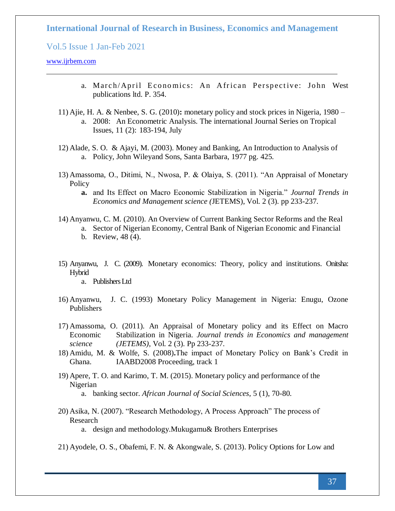Vol.5 Issue 1 Jan-Feb 2021

#### [www.ijrbem.com](http://www.ijrbem.com/)

- a. March/April Economics: An African Perspective: John West publications ltd. P. 354.
- 11) Ajie, H. A. & Nenbee, S. G. (2010)**:** monetary policy and stock prices in Nigeria, 1980 a. 2008: An Econometric Analysis. The international Journal Series on Tropical Issues, 11 (2): 183-194, July
- 12) Alade, S. O. & Ajayi, M. (2003). Money and Banking, An Introduction to Analysis of a. Policy, John Wileyand Sons, Santa Barbara, 1977 pg. 425.
- 13) Amassoma, O., Ditimi, N., Nwosa, P. & Olaiya, S. (2011). "An Appraisal of Monetary **Policy** 
	- **a.** and Its Effect on Macro Economic Stabilization in Nigeria." *Journal Trends in Economics and Management science (*JETEMS), Vol. 2 (3). pp 233-237.
- 14) Anyanwu, C. M. (2010). An Overview of Current Banking Sector Reforms and the Real
	- a. Sector of Nigerian Economy, Central Bank of Nigerian Economic and Financial

15) Anyanwu, J. C. (2009). Monetary economics: Theory, policy and institutions. Onitsha: Hybrid

a. Publishers Ltd

- 16) Anyanwu, J. C. (1993) Monetary Policy Management in Nigeria: Enugu, Ozone Publishers
- 17) Amassoma, O. (2011). An Appraisal of Monetary policy and its Effect on Macro Economic Stabilization in Nigeria. *Journal trends in Economics and management science (JETEMS)*, Vol. 2 (3). Pp 233-237.
- 18) Amidu, M. & Wolfe, S. (2008)**.**The impact of Monetary Policy on Bank's Credit in Ghana. IAABD2008 Proceeding, track 1
- 19) Apere, T. O. and Karimo, T. M. (2015). Monetary policy and performance of the Nigerian
	- a. banking sector. *African Journal of Social Sciences*, 5 (1), 70-80.
- 20) Asika, N. (2007). "Research Methodology, A Process Approach" The process of Research

a. design and methodology.Mukugamu& Brothers Enterprises

21) Ayodele, O. S., Obafemi, F. N. & Akongwale, S. (2013). Policy Options for Low and

b. Review, 48 (4).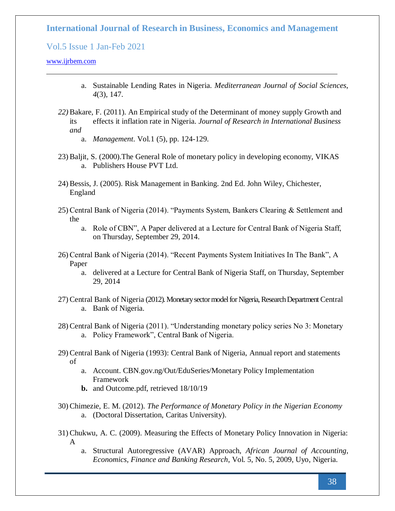Vol.5 Issue 1 Jan-Feb 2021

#### [www.ijrbem.com](http://www.ijrbem.com/)

- a. Sustainable Lending Rates in Nigeria. *Mediterranean Journal of Social Sciences*, *4*(3), 147.
- *22)* Bakare, F. (2011). An Empirical study of the Determinant of money supply Growth and its effects it inflation rate in Nigeria. *Journal of Research in International Business and* 
	- a. *Management*. Vol.1 (5), pp. 124-129.
- 23) Baljit, S. (2000).The General Role of monetary policy in developing economy, VIKAS a. Publishers House PVT Ltd.
- 24) Bessis, J. (2005). Risk Management in Banking. 2nd Ed. John Wiley, Chichester, England
- 25) Central Bank of Nigeria (2014). "Payments System, Bankers Clearing & Settlement and the
	- a. Role of CBN", A Paper delivered at a Lecture for Central Bank of Nigeria Staff, on Thursday, September 29, 2014.
- 26) Central Bank of Nigeria (2014). "Recent Payments System Initiatives In The Bank", A Paper
	- a. delivered at a Lecture for Central Bank of Nigeria Staff, on Thursday, September 29, 2014
- 27) Central Bank of Nigeria (2012). Monetary sector model for Nigeria, Research Department Central a. Bank of Nigeria.
- 28) Central Bank of Nigeria (2011). "Understanding monetary policy series No 3: Monetary a. Policy Framework", Central Bank of Nigeria.
- 29) Central Bank of Nigeria (1993): Central Bank of Nigeria, Annual report and statements of
	- a. Account. CBN.gov.ng/Out/EduSeries/Monetary Policy Implementation Framework
	- **b.** and Outcome.pdf, retrieved 18/10/19
- 30) Chimezie, E. M. (2012). *The Performance of Monetary Policy in the Nigerian Economy* a. (Doctoral Dissertation, Caritas University).
- 31) Chukwu, A. C. (2009). Measuring the Effects of Monetary Policy Innovation in Nigeria: A
	- a. Structural Autoregressive (AVAR) Approach, *African Journal of Accounting, Economics, Finance and Banking Research*, Vol. 5, No. 5, 2009, Uyo, Nigeria.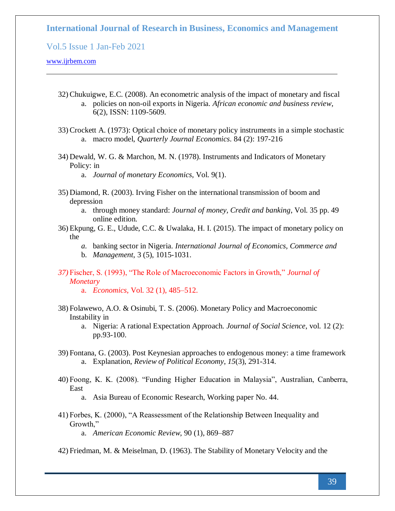Vol.5 Issue 1 Jan-Feb 2021

#### [www.ijrbem.com](http://www.ijrbem.com/)

- 32) Chukuigwe, E.C. (2008). An econometric analysis of the impact of monetary and fiscal a. policies on non-oil exports in Nigeria. *African economic and business review*, 6(2), ISSN: 1109-5609.
- 33) Crockett A. (1973): Optical choice of monetary policy instruments in a simple stochastic a. macro model, *Quarterly Journal Economics*. 84 (2): 197-216
- 34) Dewald, W. G. & Marchon, M. N. (1978). Instruments and Indicators of Monetary Policy: in

a. *Journal of monetary Economics*, Vol. 9(1).

- 35) Diamond, R. (2003). Irving Fisher on the international transmission of boom and depression
	- a. through money standard: *Journal of money, Credit and banking*, Vol. 35 pp. 49 online edition.
- 36) Ekpung, G. E., Udude, C.C. & Uwalaka, H. I. (2015). The impact of monetary policy on the
	- *a.* banking sector in Nigeria. *International Journal of Economics, Commerce and*
	- b. *Management*, 3 (5), 1015-1031.
- *37)* Fischer, S. (1993), "The Role of Macroeconomic Factors in Growth," *Journal of Monetary* 
	- a. *Economics*, Vol. 32 (1), 485–512.
- 38) Folawewo, A.O. & Osinubi, T. S. (2006). Monetary Policy and Macroeconomic Instability in
	- a. Nigeria: A rational Expectation Approach. *Journal of Social Science*, vol. 12 (2): pp.93-100.
- 39) Fontana, G. (2003). Post Keynesian approaches to endogenous money: a time framework a. Explanation, *Review of Political Economy*, *15*(3), 291-314.
- 40) Foong, K. K. (2008). "Funding Higher Education in Malaysia", Australian, Canberra, East

a. Asia Bureau of Economic Research, Working paper No. 44.

- 41) Forbes, K. (2000), "A Reassessment of the Relationship Between Inequality and Growth," a. *American Economic Review*, 90 (1), 869–887
- 42) Friedman, M. & Meiselman, D. (1963). The Stability of Monetary Velocity and the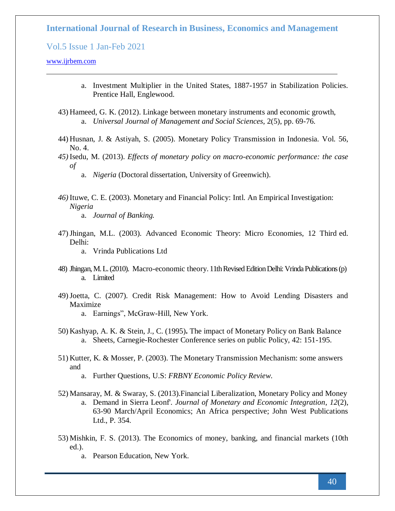Vol.5 Issue 1 Jan-Feb 2021

#### [www.ijrbem.com](http://www.ijrbem.com/)

- a. Investment Multiplier in the United States, 1887-1957 in Stabilization Policies. Prentice Hall, Englewood.
- 43) Hameed, G. K. (2012). Linkage between monetary instruments and economic growth, a. *Universal Journal of Management and Social Sciences*, 2(5), pp. 69-76.
- 44) Husnan, J. & Astiyah, S. (2005). Monetary Policy Transmission in Indonesia. Vol. 56, No. 4.
- *45)* Isedu, M. (2013). *Effects of monetary policy on macro-economic performance: the case of* 
	- a. *Nigeria* (Doctoral dissertation, University of Greenwich).
- *46)* Ituwe, C. E. (2003). Monetary and Financial Policy: Intl. An Empirical Investigation: *Nigeria* 
	- a. *Journal of Banking.*
- 47)Jhingan, M.L. (2003). Advanced Economic Theory: Micro Economies, 12 Third ed. Delhi:
	- a. Vrinda Publications Ltd
- 48) Jhingan, M. L. (2010). Macro-economic theory. 11th Revised Edition Delhi: Vrinda Publications (p) a. Limited
- 49)Joetta, C. (2007). Credit Risk Management: How to Avoid Lending Disasters and Maximize
	- a. Earnings", McGraw-Hill, New York.
- 50) Kashyap, A. K. & Stein, J., C. (1995)**.** The impact of Monetary Policy on Bank Balance a. Sheets, Carnegie-Rochester Conference series on public Policy, 42: 151-195.
- 51) Kutter, K. & Mosser, P. (2003). The Monetary Transmission Mechanism: some answers and
	- a. Further Questions, U.S: *FRBNY Economic Policy Review*.
- 52) Mansaray, M. & Swaray, S. (2013).Financial Liberalization, Monetary Policy and Money a. Demand in Sierra Leonf'. *Journal of Monetary and Economic Integration*, *12*(2), 63-90 March/April Economics; An Africa perspective; John West Publications Ltd., P. 354.
- 53) Mishkin, F. S. (2013). The Economics of money, banking, and financial markets (10th ed.).
	- a. Pearson Education, New York.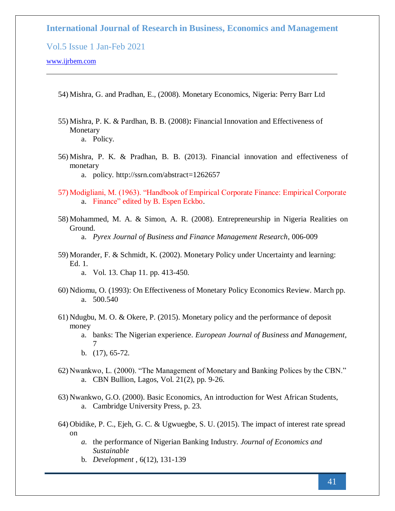Vol.5 Issue 1 Jan-Feb 2021

- 54) Mishra, G. and Pradhan, E., (2008). Monetary Economics, Nigeria: Perry Barr Ltd
- 55) Mishra, P. K. & Pardhan, B. B. (2008)**:** Financial Innovation and Effectiveness of Monetary

56) Mishra, P. K. & Pradhan, B. B. (2013). Financial innovation and effectiveness of monetary

- 57) Modigliani, M. (1963). "Handbook of Empirical Corporate Finance: Empirical Corporate a. Finance" edited by B. Espen Eckbo.
- 58) Mohammed, M. A. & Simon, A. R. (2008). Entrepreneurship in Nigeria Realities on Ground. a. *Pyrex Journal of Business and Finance Management Research*, 006-009
- 59) Morander, F. & Schmidt, K. (2002). Monetary Policy under Uncertainty and learning: Ed. 1. a. Vol. 13. Chap 11. pp. 413-450.
- 60) Ndiomu, O. (1993): On Effectiveness of Monetary Policy Economics Review. March pp. a. 500.540
- 61) Ndugbu, M. O. & Okere, P. (2015). Monetary policy and the performance of deposit money
	- a. banks: The Nigerian experience. *European Journal of Business and Management*, 7
	- b. (17), 65-72.
- 62) Nwankwo, L. (2000). "The Management of Monetary and Banking Polices by the CBN." a. CBN Bullion, Lagos, Vol. 21(2), pp. 9-26.
- 63) Nwankwo, G.O. (2000). Basic Economics, An introduction for West African Students, a. Cambridge University Press, p. 23.
- 64) Obidike, P. C., Ejeh, G. C. & Ugwuegbe, S. U. (2015). The impact of interest rate spread on
	- *a.* the performance of Nigerian Banking Industry. *Journal of Economics and Sustainable*
	- b. *Development* , 6(12), 131-139

a. Policy.

a. policy. http://ssrn.com/abstract=1262657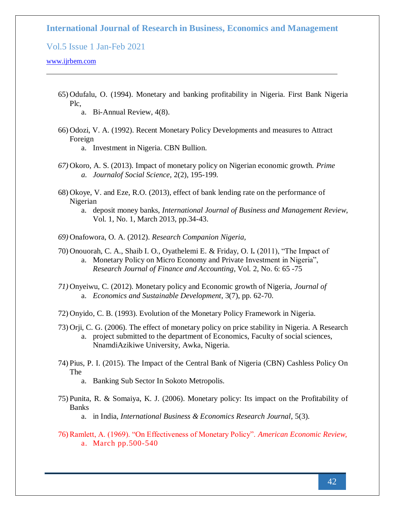Vol.5 Issue 1 Jan-Feb 2021

[www.ijrbem.com](http://www.ijrbem.com/)

- 65) Odufalu, O. (1994). Monetary and banking profitability in Nigeria. First Bank Nigeria Plc,
	- a. Bi-Annual Review, 4(8).
- 66) Odozi, V. A. (1992). Recent Monetary Policy Developments and measures to Attract Foreign
	- a. Investment in Nigeria. CBN Bullion.
- *67)* Okoro, A. S. (2013). Impact of monetary policy on Nigerian economic growth. *Prime a. Journalof Social Science*, 2(2), 195-199.
- 68) Okoye, V. and Eze, R.O. (2013), effect of bank lending rate on the performance of Nigerian
	- a. deposit money banks, *International Journal of Business and Management Review*, Vol. 1, No. 1, March 2013, pp.34-43.
- *69)* Onafowora, O. A. (2012). *Research Companion Nigeria,*
- 70) Onouorah, C. A., Shaib I. O., Oyathelemi E. & Friday, O. I**.** (2011), "The Impact of a. Monetary Policy on Micro Economy and Private Investment in Nigeria", *Research Journal of Finance and Accounting*, Vol. 2, No. 6: 65 -75
- *71)* Onyeiwu, C. (2012). Monetary policy and Economic growth of Nigeria, *Journal of*  a. *Economics and Sustainable Development*, 3(7), pp. 62-70.
- 72) Onyido, C. B. (1993). Evolution of the Monetary Policy Framework in Nigeria.
- 73) Orji, C. G. (2006). The effect of monetary policy on price stability in Nigeria. A Research a. project submitted to the department of Economics, Faculty of social sciences, NnamdiAzikiwe University, Awka, Nigeria.
- 74) Pius, P. I. (2015). The Impact of the Central Bank of Nigeria (CBN) Cashless Policy On The
	- a. Banking Sub Sector In Sokoto Metropolis.
- 75) Punita, R. & Somaiya, K. J. (2006). Monetary policy: Its impact on the Profitability of Banks
	- a. in India, *International Business & Economics Research Journal*, 5(3).
- 76) Ramlett, A. (1969). "On Effectiveness of Monetary Policy". *American Economic Review*, a. March pp.500-540